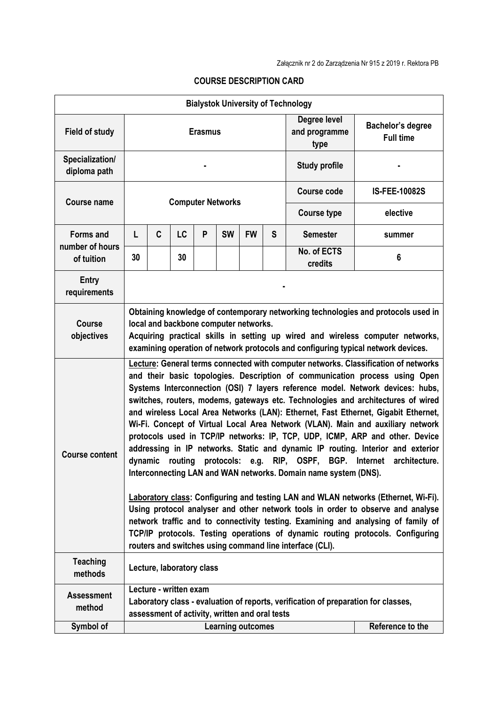| <b>Bialystok University of Technology</b>         |                                                                                                                                                                                                                                                                                                                                                                                                                                                                                                                                                                                                                                                                                                                                                                                                                                                                                                                                                                                                                                                                                                                                                                                                                                                               |                           |           |   |           |                  |                                       |                                       |                      |
|---------------------------------------------------|---------------------------------------------------------------------------------------------------------------------------------------------------------------------------------------------------------------------------------------------------------------------------------------------------------------------------------------------------------------------------------------------------------------------------------------------------------------------------------------------------------------------------------------------------------------------------------------------------------------------------------------------------------------------------------------------------------------------------------------------------------------------------------------------------------------------------------------------------------------------------------------------------------------------------------------------------------------------------------------------------------------------------------------------------------------------------------------------------------------------------------------------------------------------------------------------------------------------------------------------------------------|---------------------------|-----------|---|-----------|------------------|---------------------------------------|---------------------------------------|----------------------|
| <b>Field of study</b>                             | <b>Erasmus</b>                                                                                                                                                                                                                                                                                                                                                                                                                                                                                                                                                                                                                                                                                                                                                                                                                                                                                                                                                                                                                                                                                                                                                                                                                                                |                           |           |   |           |                  | Degree level<br>and programme<br>type | Bachelor's degree<br><b>Full time</b> |                      |
| Specialization/<br>diploma path                   |                                                                                                                                                                                                                                                                                                                                                                                                                                                                                                                                                                                                                                                                                                                                                                                                                                                                                                                                                                                                                                                                                                                                                                                                                                                               |                           |           |   |           |                  |                                       | <b>Study profile</b>                  |                      |
| <b>Course name</b>                                | <b>Computer Networks</b>                                                                                                                                                                                                                                                                                                                                                                                                                                                                                                                                                                                                                                                                                                                                                                                                                                                                                                                                                                                                                                                                                                                                                                                                                                      |                           |           |   |           |                  |                                       | Course code                           | <b>IS-FEE-10082S</b> |
|                                                   |                                                                                                                                                                                                                                                                                                                                                                                                                                                                                                                                                                                                                                                                                                                                                                                                                                                                                                                                                                                                                                                                                                                                                                                                                                                               |                           |           |   |           |                  |                                       | <b>Course type</b>                    | elective             |
| <b>Forms and</b><br>number of hours<br>of tuition | L                                                                                                                                                                                                                                                                                                                                                                                                                                                                                                                                                                                                                                                                                                                                                                                                                                                                                                                                                                                                                                                                                                                                                                                                                                                             | C                         | <b>LC</b> | P | <b>SW</b> | <b>FW</b>        | S                                     | <b>Semester</b>                       | summer               |
|                                                   | 30                                                                                                                                                                                                                                                                                                                                                                                                                                                                                                                                                                                                                                                                                                                                                                                                                                                                                                                                                                                                                                                                                                                                                                                                                                                            |                           | 30        |   |           |                  |                                       | No. of ECTS<br>credits                | 6                    |
| <b>Entry</b><br>requirements                      |                                                                                                                                                                                                                                                                                                                                                                                                                                                                                                                                                                                                                                                                                                                                                                                                                                                                                                                                                                                                                                                                                                                                                                                                                                                               |                           |           |   |           |                  |                                       |                                       |                      |
| <b>Course</b><br>objectives                       | Obtaining knowledge of contemporary networking technologies and protocols used in<br>local and backbone computer networks.<br>Acquiring practical skills in setting up wired and wireless computer networks,<br>examining operation of network protocols and configuring typical network devices.                                                                                                                                                                                                                                                                                                                                                                                                                                                                                                                                                                                                                                                                                                                                                                                                                                                                                                                                                             |                           |           |   |           |                  |                                       |                                       |                      |
| <b>Course content</b>                             | Lecture: General terms connected with computer networks. Classification of networks<br>and their basic topologies. Description of communication process using Open<br>Systems Interconnection (OSI) 7 layers reference model. Network devices: hubs,<br>switches, routers, modems, gateways etc. Technologies and architectures of wired<br>and wireless Local Area Networks (LAN): Ethernet, Fast Ethernet, Gigabit Ethernet,<br>Wi-Fi. Concept of Virtual Local Area Network (VLAN). Main and auxiliary network<br>protocols used in TCP/IP networks: IP, TCP, UDP, ICMP, ARP and other. Device<br>addressing in IP networks. Static and dynamic IP routing. Interior and exterior<br>RIP, OSPF, BGP. Internet<br>dynamic routing<br>protocols: e.g.<br>architecture.<br>Interconnecting LAN and WAN networks. Domain name system (DNS).<br><b>Laboratory class: Configuring and testing LAN and WLAN networks (Ethernet, Wi-Fi).</b><br>Using protocol analyser and other network tools in order to observe and analyse<br>network traffic and to connectivity testing. Examining and analysing of family of<br>TCP/IP protocols. Testing operations of dynamic routing protocols. Configuring<br>routers and switches using command line interface (CLI). |                           |           |   |           |                  |                                       |                                       |                      |
| <b>Teaching</b><br>methods                        |                                                                                                                                                                                                                                                                                                                                                                                                                                                                                                                                                                                                                                                                                                                                                                                                                                                                                                                                                                                                                                                                                                                                                                                                                                                               | Lecture, laboratory class |           |   |           |                  |                                       |                                       |                      |
| <b>Assessment</b><br>method                       | Lecture - written exam<br>Laboratory class - evaluation of reports, verification of preparation for classes,<br>assessment of activity, written and oral tests                                                                                                                                                                                                                                                                                                                                                                                                                                                                                                                                                                                                                                                                                                                                                                                                                                                                                                                                                                                                                                                                                                |                           |           |   |           |                  |                                       |                                       |                      |
| Symbol of                                         | <b>Learning outcomes</b>                                                                                                                                                                                                                                                                                                                                                                                                                                                                                                                                                                                                                                                                                                                                                                                                                                                                                                                                                                                                                                                                                                                                                                                                                                      |                           |           |   |           | Reference to the |                                       |                                       |                      |

## **COURSE DESCRIPTION CARD**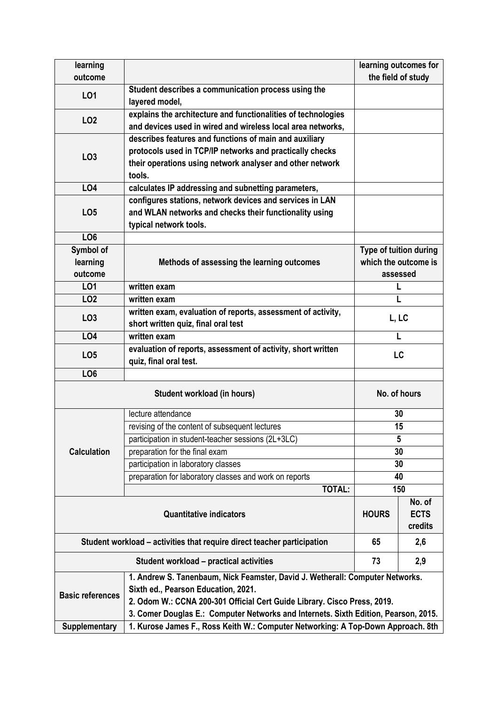| learning                                                                            |                                                                                                     | learning outcomes for  |        |  |  |  |  |
|-------------------------------------------------------------------------------------|-----------------------------------------------------------------------------------------------------|------------------------|--------|--|--|--|--|
| outcome                                                                             |                                                                                                     | the field of study     |        |  |  |  |  |
| LO1                                                                                 | Student describes a communication process using the<br>layered model,                               |                        |        |  |  |  |  |
|                                                                                     | explains the architecture and functionalities of technologies                                       |                        |        |  |  |  |  |
| LO <sub>2</sub>                                                                     | and devices used in wired and wireless local area networks,                                         |                        |        |  |  |  |  |
|                                                                                     | describes features and functions of main and auxiliary                                              |                        |        |  |  |  |  |
|                                                                                     | protocols used in TCP/IP networks and practically checks                                            |                        |        |  |  |  |  |
| LO <sub>3</sub>                                                                     | their operations using network analyser and other network                                           |                        |        |  |  |  |  |
|                                                                                     | tools.                                                                                              |                        |        |  |  |  |  |
| <b>LO4</b>                                                                          | calculates IP addressing and subnetting parameters,                                                 |                        |        |  |  |  |  |
|                                                                                     | configures stations, network devices and services in LAN                                            |                        |        |  |  |  |  |
| LO <sub>5</sub>                                                                     | and WLAN networks and checks their functionality using                                              |                        |        |  |  |  |  |
|                                                                                     | typical network tools.                                                                              |                        |        |  |  |  |  |
| LO <sub>6</sub>                                                                     |                                                                                                     |                        |        |  |  |  |  |
| Symbol of                                                                           |                                                                                                     | Type of tuition during |        |  |  |  |  |
| learning                                                                            | Methods of assessing the learning outcomes                                                          | which the outcome is   |        |  |  |  |  |
| outcome                                                                             |                                                                                                     | assessed               |        |  |  |  |  |
| LO1                                                                                 | written exam                                                                                        | L                      |        |  |  |  |  |
| LO <sub>2</sub>                                                                     | written exam                                                                                        | L                      |        |  |  |  |  |
| LO <sub>3</sub>                                                                     | written exam, evaluation of reports, assessment of activity,<br>short written quiz, final oral test | L, LC                  |        |  |  |  |  |
| <b>LO4</b>                                                                          | written exam                                                                                        | L                      |        |  |  |  |  |
| LO <sub>5</sub>                                                                     | evaluation of reports, assessment of activity, short written<br>quiz, final oral test.              | LC                     |        |  |  |  |  |
| LO <sub>6</sub>                                                                     |                                                                                                     |                        |        |  |  |  |  |
|                                                                                     | No. of hours                                                                                        |                        |        |  |  |  |  |
|                                                                                     | lecture attendance                                                                                  | 30                     |        |  |  |  |  |
|                                                                                     | revising of the content of subsequent lectures                                                      | 15                     |        |  |  |  |  |
|                                                                                     | participation in student-teacher sessions (2L+3LC)                                                  | 5                      |        |  |  |  |  |
| <b>Calculation</b>                                                                  | preparation for the final exam                                                                      | 30                     |        |  |  |  |  |
|                                                                                     | participation in laboratory classes                                                                 | 30                     |        |  |  |  |  |
|                                                                                     | preparation for laboratory classes and work on reports                                              | 40                     |        |  |  |  |  |
|                                                                                     | <b>TOTAL:</b>                                                                                       | 150                    |        |  |  |  |  |
|                                                                                     | <b>Quantitative indicators</b>                                                                      |                        | No. of |  |  |  |  |
|                                                                                     | <b>HOURS</b>                                                                                        | <b>ECTS</b>            |        |  |  |  |  |
|                                                                                     |                                                                                                     | credits                |        |  |  |  |  |
| Student workload – activities that require direct teacher participation             |                                                                                                     |                        | 2,6    |  |  |  |  |
|                                                                                     | 73                                                                                                  | 2,9                    |        |  |  |  |  |
|                                                                                     | 1. Andrew S. Tanenbaum, Nick Feamster, David J. Wetherall: Computer Networks.                       |                        |        |  |  |  |  |
| <b>Basic references</b>                                                             | Sixth ed., Pearson Education, 2021.                                                                 |                        |        |  |  |  |  |
|                                                                                     | 2. Odom W.: CCNA 200-301 Official Cert Guide Library. Cisco Press, 2019.                            |                        |        |  |  |  |  |
| 3. Comer Douglas E.: Computer Networks and Internets. Sixth Edition, Pearson, 2015. |                                                                                                     |                        |        |  |  |  |  |
| <b>Supplementary</b>                                                                | 1. Kurose James F., Ross Keith W.: Computer Networking: A Top-Down Approach. 8th                    |                        |        |  |  |  |  |